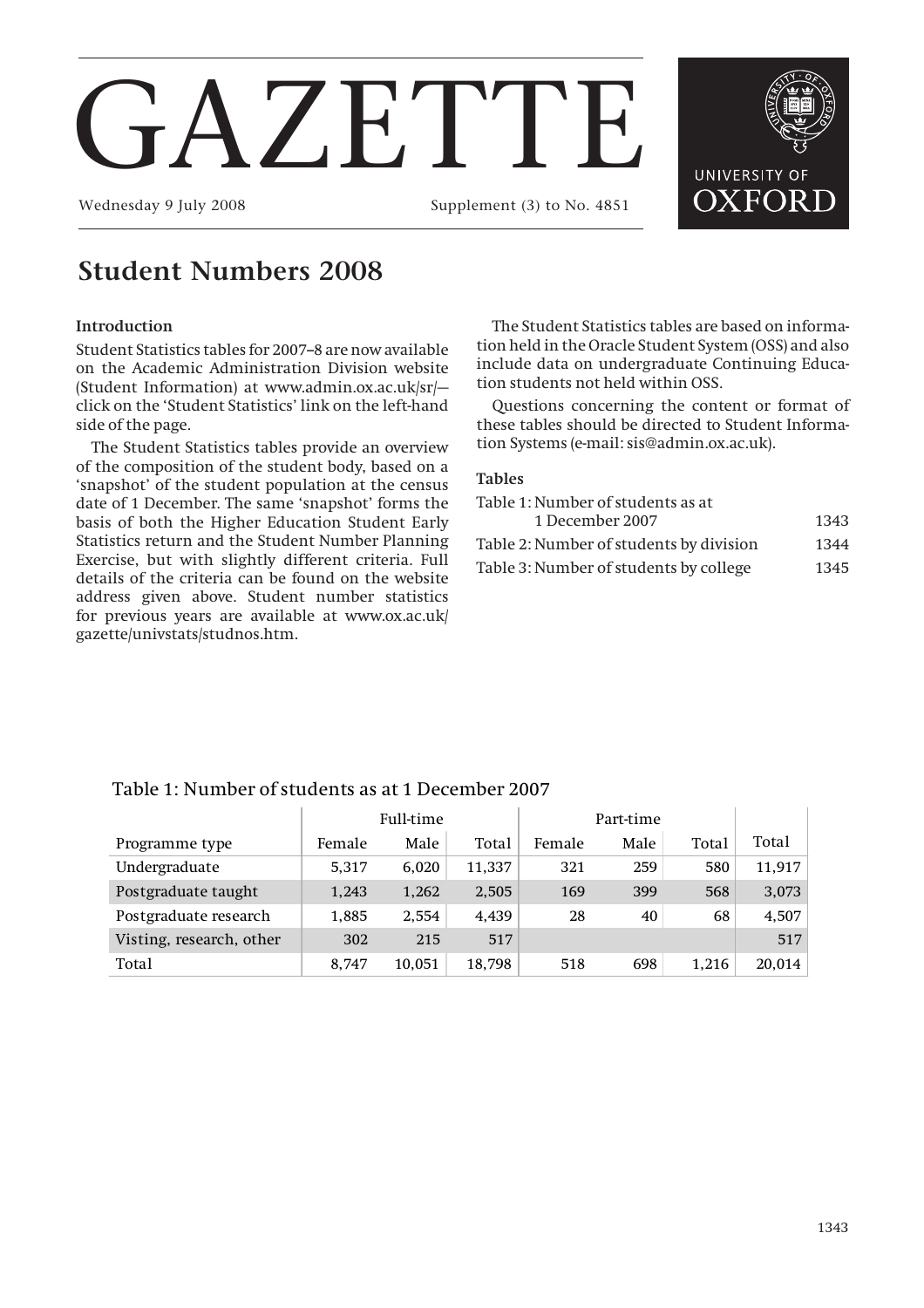# V.F.TTF.

Wednesday 9 July 2008 Supplement (3) to No. 4851

## **Student Numbers 2008**

#### **Introduction**

Student Statistics tables for 2007-8 are now available on the Academic Administration Division website (Student Information) at www.admin.ox.ac.uk/sr/ click on the 'Student Statistics' link on the left-hand side of the page.

The Student Statistics tables provide an overview of the composition of the student body, based on a 'snapshot' of the student population at the census date of 1 December. The same 'snapshot' forms the basis of both the Higher Education Student Early Statistics return and the Student Number Planning Exercise, but with slightly different criteria. Full details of the criteria can be found on the website address given above. Student number statistics for previous years are available at www.ox.ac.uk/ gazette/univstats/studnos.htm.

The Student Statistics tables are based on information held in the Oracle Student System (OSS) and also include data on undergraduate Continuing Education students not held within OSS.

Questions concerning the content or format of these tables should be directed to Student Information Systems (e-mail: sis@admin.ox.ac.uk).

#### **Tables**

| Table 1: Number of students as at       |      |
|-----------------------------------------|------|
| 1 December 2007                         | 1343 |
| Table 2: Number of students by division | 1344 |
| Table 3: Number of students by college  | 1345 |

#### Table 1: Number of students as at 1 December 2007

|                          | Full-time |        |        |        |      |       |        |
|--------------------------|-----------|--------|--------|--------|------|-------|--------|
| Programme type           | Female    | Male   | Total  | Female | Male | Total | Total  |
| Undergraduate            | 5,317     | 6.020  | 11,337 | 321    | 259  | 580   | 11,917 |
| Postgraduate taught      | 1,243     | 1,262  | 2,505  | 169    | 399  | 568   | 3,073  |
| Postgraduate research    | 1,885     | 2.554  | 4.439  | 28     | 40   | 68    | 4,507  |
| Visting, research, other | 302       | 215    | 517    |        |      |       | 517    |
| Total                    | 8.747     | 10.051 | 18,798 | 518    | 698  | 1.216 | 20,014 |

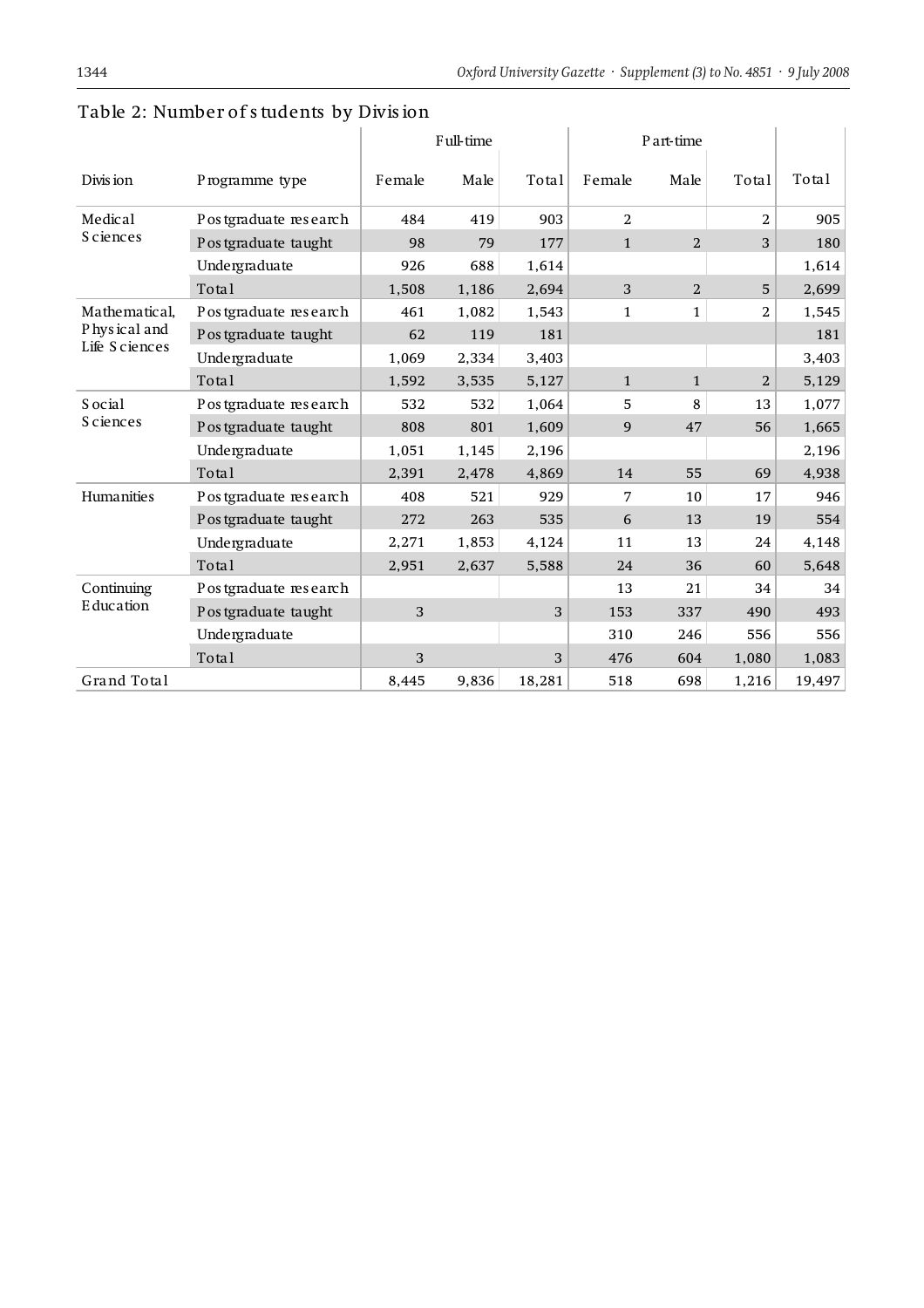|                                                |                       | Full-time |       |        | P art-time   |                |                |        |
|------------------------------------------------|-----------------------|-----------|-------|--------|--------------|----------------|----------------|--------|
| Divis ion                                      | Programme type        | Female    | Male  | Total  | Female       | Male           | Total          | Total  |
| Medical<br><b>Sciences</b>                     | Postgraduate research | 484       | 419   | 903    | 2            |                | 2              | 905    |
|                                                | Postgraduate taught   | 98        | 79    | 177    | $\mathbf{1}$ | 2              | 3              | 180    |
|                                                | Undergraduate         | 926       | 688   | 1,614  |              |                |                | 1,614  |
|                                                | Total                 | 1,508     | 1,186 | 2,694  | 3            | $\overline{2}$ | 5              | 2,699  |
| Mathematical,<br>Physical and<br>Life Sciences | Postgraduate research | 461       | 1,082 | 1,543  | $\mathbf{1}$ | $\mathbf{1}$   | $\overline{2}$ | 1,545  |
|                                                | Postgraduate taught   | 62        | 119   | 181    |              |                |                | 181    |
|                                                | Undergraduate         | 1,069     | 2,334 | 3,403  |              |                |                | 3,403  |
|                                                | Total                 | 1,592     | 3,535 | 5,127  | $\mathbf{1}$ | $\mathbf{1}$   | $\overline{2}$ | 5,129  |
| S ocial<br><b>Sciences</b>                     | Postgraduate research | 532       | 532   | 1,064  | 5            | 8              | 13             | 1,077  |
|                                                | Postgraduate taught   | 808       | 801   | 1,609  | 9            | 47             | 56             | 1,665  |
|                                                | Undergraduate         | 1,051     | 1,145 | 2,196  |              |                |                | 2,196  |
|                                                | Total                 | 2,391     | 2,478 | 4,869  | 14           | 55             | 69             | 4,938  |
| Humanities                                     | Postgraduate research | 408       | 521   | 929    | 7            | 10             | 17             | 946    |
|                                                | Postgraduate taught   | 272       | 263   | 535    | 6            | 13             | 19             | 554    |
|                                                | Undergraduate         | 2,271     | 1,853 | 4,124  | 11           | 13             | 24             | 4,148  |
|                                                | Total                 | 2,951     | 2,637 | 5,588  | 24           | 36             | 60             | 5,648  |
| Continuing<br>Education                        | Postgraduate research |           |       |        | 13           | 21             | 34             | 34     |
|                                                | Postgraduate taught   | 3         |       | 3      | 153          | 337            | 490            | 493    |
|                                                | Undergraduate         |           |       |        | 310          | 246            | 556            | 556    |
|                                                | Total                 | 3         |       | 3      | 476          | 604            | 1,080          | 1,083  |
| Grand Total                                    |                       | 8,445     | 9,836 | 18,281 | 518          | 698            | 1,216          | 19,497 |

### Table 2: Number of students by Division